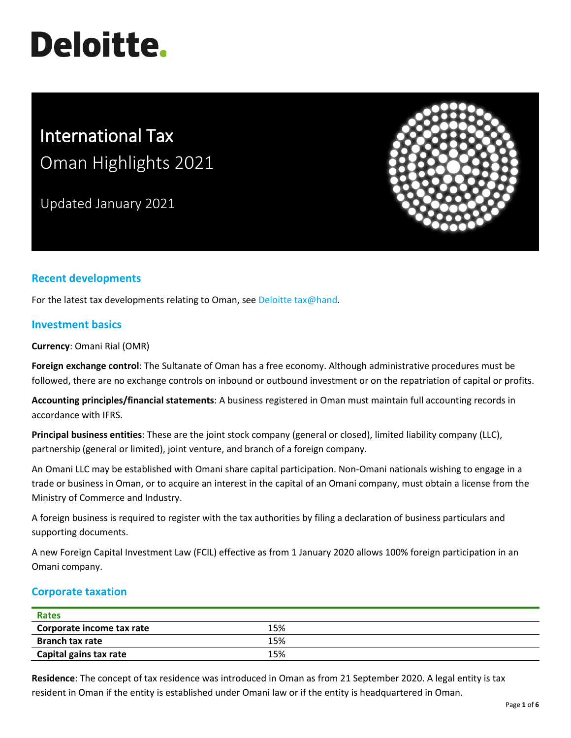# **Deloitte.**

# International Tax Oman Highlights 2021

Updated January 2021



# **Recent developments**

For the latest tax developments relating to Oman, see [Deloitte tax@hand.](https://www.taxathand.com/world-news/Oman)

# **Investment basics**

**Currency**: Omani Rial (OMR)

**Foreign exchange control**: The Sultanate of Oman has a free economy. Although administrative procedures must be followed, there are no exchange controls on inbound or outbound investment or on the repatriation of capital or profits.

**Accounting principles/financial statements**: A business registered in Oman must maintain full accounting records in accordance with IFRS.

**Principal business entities**: These are the joint stock company (general or closed), limited liability company (LLC), partnership (general or limited), joint venture, and branch of a foreign company.

An Omani LLC may be established with Omani share capital participation. Non-Omani nationals wishing to engage in a trade or business in Oman, or to acquire an interest in the capital of an Omani company, must obtain a license from the Ministry of Commerce and Industry.

A foreign business is required to register with the tax authorities by filing a declaration of business particulars and supporting documents.

A new Foreign Capital Investment Law (FCIL) effective as from 1 January 2020 allows 100% foreign participation in an Omani company.

# **Corporate taxation**

| Rates                     |     |  |
|---------------------------|-----|--|
| Corporate income tax rate | 15% |  |
| <b>Branch tax rate</b>    | 15% |  |
| Capital gains tax rate    | 15% |  |

**Residence**: The concept of tax residence was introduced in Oman as from 21 September 2020. A legal entity is tax resident in Oman if the entity is established under Omani law or if the entity is headquartered in Oman.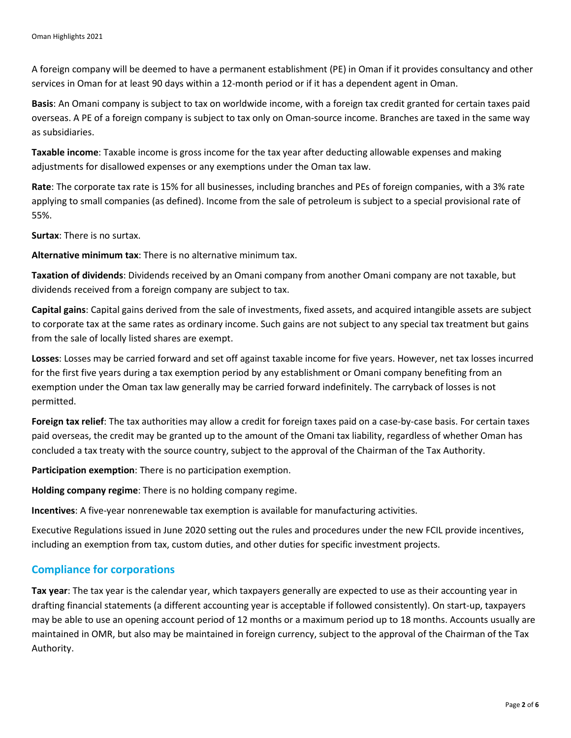A foreign company will be deemed to have a permanent establishment (PE) in Oman if it provides consultancy and other services in Oman for at least 90 days within a 12-month period or if it has a dependent agent in Oman.

**Basis**: An Omani company is subject to tax on worldwide income, with a foreign tax credit granted for certain taxes paid overseas. A PE of a foreign company is subject to tax only on Oman-source income. Branches are taxed in the same way as subsidiaries.

**Taxable income**: Taxable income is gross income for the tax year after deducting allowable expenses and making adjustments for disallowed expenses or any exemptions under the Oman tax law.

**Rate**: The corporate tax rate is 15% for all businesses, including branches and PEs of foreign companies, with a 3% rate applying to small companies (as defined). Income from the sale of petroleum is subject to a special provisional rate of 55%.

**Surtax**: There is no surtax.

**Alternative minimum tax**: There is no alternative minimum tax.

**Taxation of dividends**: Dividends received by an Omani company from another Omani company are not taxable, but dividends received from a foreign company are subject to tax.

**Capital gains**: Capital gains derived from the sale of investments, fixed assets, and acquired intangible assets are subject to corporate tax at the same rates as ordinary income. Such gains are not subject to any special tax treatment but gains from the sale of locally listed shares are exempt.

**Losses**: Losses may be carried forward and set off against taxable income for five years. However, net tax losses incurred for the first five years during a tax exemption period by any establishment or Omani company benefiting from an exemption under the Oman tax law generally may be carried forward indefinitely. The carryback of losses is not permitted.

**Foreign tax relief**: The tax authorities may allow a credit for foreign taxes paid on a case-by-case basis. For certain taxes paid overseas, the credit may be granted up to the amount of the Omani tax liability, regardless of whether Oman has concluded a tax treaty with the source country, subject to the approval of the Chairman of the Tax Authority.

**Participation exemption**: There is no participation exemption.

**Holding company regime**: There is no holding company regime.

**Incentives**: A five-year nonrenewable tax exemption is available for manufacturing activities.

Executive Regulations issued in June 2020 setting out the rules and procedures under the new FCIL provide incentives, including an exemption from tax, custom duties, and other duties for specific investment projects.

#### **Compliance for corporations**

**Tax year**: The tax year is the calendar year, which taxpayers generally are expected to use as their accounting year in drafting financial statements (a different accounting year is acceptable if followed consistently). On start-up, taxpayers may be able to use an opening account period of 12 months or a maximum period up to 18 months. Accounts usually are maintained in OMR, but also may be maintained in foreign currency, subject to the approval of the Chairman of the Tax Authority.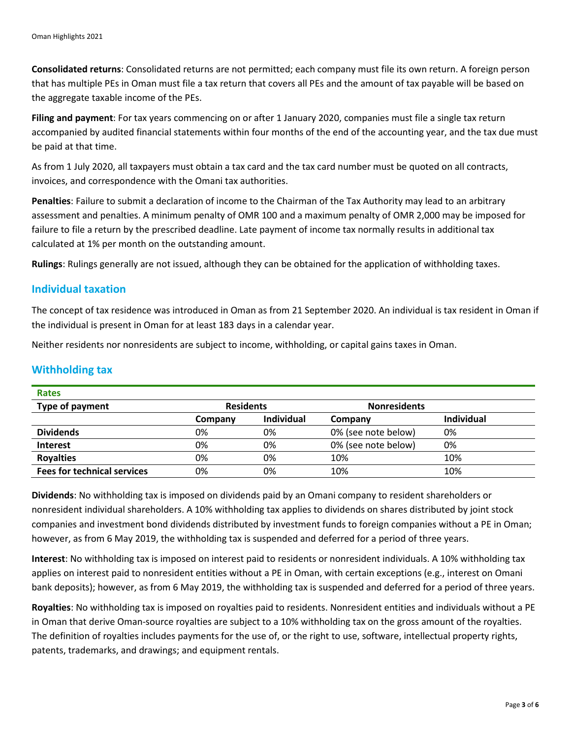**Consolidated returns**: Consolidated returns are not permitted; each company must file its own return. A foreign person that has multiple PEs in Oman must file a tax return that covers all PEs and the amount of tax payable will be based on the aggregate taxable income of the PEs.

**Filing and payment**: For tax years commencing on or after 1 January 2020, companies must file a single tax return accompanied by audited financial statements within four months of the end of the accounting year, and the tax due must be paid at that time.

As from 1 July 2020, all taxpayers must obtain a tax card and the tax card number must be quoted on all contracts, invoices, and correspondence with the Omani tax authorities.

**Penalties**: Failure to submit a declaration of income to the Chairman of the Tax Authority may lead to an arbitrary assessment and penalties. A minimum penalty of OMR 100 and a maximum penalty of OMR 2,000 may be imposed for failure to file a return by the prescribed deadline. Late payment of income tax normally results in additional tax calculated at 1% per month on the outstanding amount.

**Rulings**: Rulings generally are not issued, although they can be obtained for the application of withholding taxes.

#### **Individual taxation**

The concept of tax residence was introduced in Oman as from 21 September 2020. An individual is tax resident in Oman if the individual is present in Oman for at least 183 days in a calendar year.

Neither residents nor nonresidents are subject to income, withholding, or capital gains taxes in Oman.

#### **Withholding tax**

| <b>Rates</b>                       |                  |                   |                     |                   |
|------------------------------------|------------------|-------------------|---------------------|-------------------|
| Type of payment                    | <b>Residents</b> |                   | <b>Nonresidents</b> |                   |
|                                    | Company          | <b>Individual</b> | Company             | <b>Individual</b> |
| <b>Dividends</b>                   | 0%               | 0%                | 0% (see note below) | 0%                |
| <b>Interest</b>                    | 0%               | 0%                | 0% (see note below) | 0%                |
| <b>Royalties</b>                   | 0%               | 0%                | 10%                 | 10%               |
| <b>Fees for technical services</b> | 0%               | 0%                | 10%                 | 10%               |

**Dividends**: No withholding tax is imposed on dividends paid by an Omani company to resident shareholders or nonresident individual shareholders. A 10% withholding tax applies to dividends on shares distributed by joint stock companies and investment bond dividends distributed by investment funds to foreign companies without a PE in Oman; however, as from 6 May 2019, the withholding tax is suspended and deferred for a period of three years.

**Interest**: No withholding tax is imposed on interest paid to residents or nonresident individuals. A 10% withholding tax applies on interest paid to nonresident entities without a PE in Oman, with certain exceptions (e.g., interest on Omani bank deposits); however, as from 6 May 2019, the withholding tax is suspended and deferred for a period of three years.

**Royalties**: No withholding tax is imposed on royalties paid to residents. Nonresident entities and individuals without a PE in Oman that derive Oman-source royalties are subject to a 10% withholding tax on the gross amount of the royalties. The definition of royalties includes payments for the use of, or the right to use, software, intellectual property rights, patents, trademarks, and drawings; and equipment rentals.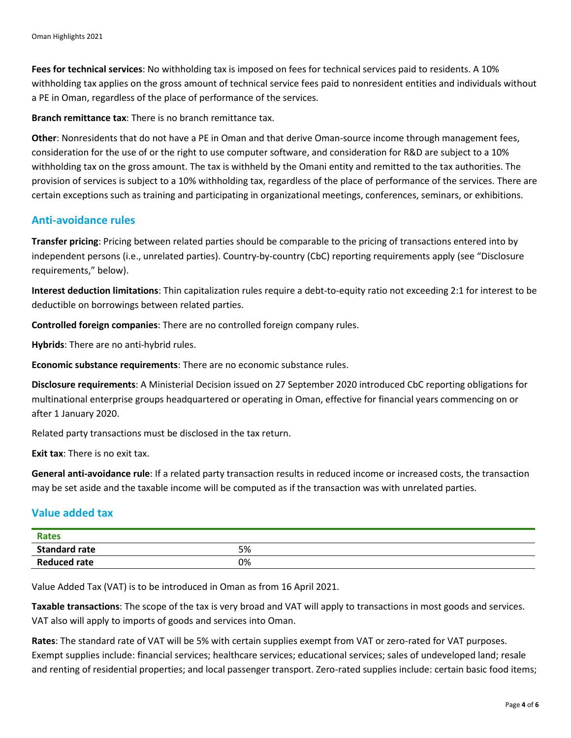**Fees for technical services**: No withholding tax is imposed on fees for technical services paid to residents. A 10% withholding tax applies on the gross amount of technical service fees paid to nonresident entities and individuals without a PE in Oman, regardless of the place of performance of the services.

**Branch remittance tax**: There is no branch remittance tax.

**Other**: Nonresidents that do not have a PE in Oman and that derive Oman-source income through management fees, consideration for the use of or the right to use computer software, and consideration for R&D are subject to a 10% withholding tax on the gross amount. The tax is withheld by the Omani entity and remitted to the tax authorities. The provision of services is subject to a 10% withholding tax, regardless of the place of performance of the services. There are certain exceptions such as training and participating in organizational meetings, conferences, seminars, or exhibitions.

#### **Anti-avoidance rules**

**Transfer pricing**: Pricing between related parties should be comparable to the pricing of transactions entered into by independent persons (i.e., unrelated parties). Country-by-country (CbC) reporting requirements apply (see "Disclosure requirements," below).

**Interest deduction limitations**: Thin capitalization rules require a debt-to-equity ratio not exceeding 2:1 for interest to be deductible on borrowings between related parties.

**Controlled foreign companies**: There are no controlled foreign company rules.

**Hybrids**: There are no anti-hybrid rules.

**Economic substance requirements**: There are no economic substance rules.

**Disclosure requirements**: A Ministerial Decision issued on 27 September 2020 introduced CbC reporting obligations for multinational enterprise groups headquartered or operating in Oman, effective for financial years commencing on or after 1 January 2020.

Related party transactions must be disclosed in the tax return.

**Exit tax**: There is no exit tax.

**General anti-avoidance rule**: If a related party transaction results in reduced income or increased costs, the transaction may be set aside and the taxable income will be computed as if the transaction was with unrelated parties.

# **Value added tax**

| <b>Rates</b>         |    |
|----------------------|----|
| <b>Standard rate</b> | 5% |
| <b>Reduced rate</b>  | 0% |

Value Added Tax (VAT) is to be introduced in Oman as from 16 April 2021.

**Taxable transactions**: The scope of the tax is very broad and VAT will apply to transactions in most goods and services. VAT also will apply to imports of goods and services into Oman.

**Rates**: The standard rate of VAT will be 5% with certain supplies exempt from VAT or zero-rated for VAT purposes. Exempt supplies include: financial services; healthcare services; educational services; sales of undeveloped land; resale and renting of residential properties; and local passenger transport. Zero-rated supplies include: certain basic food items;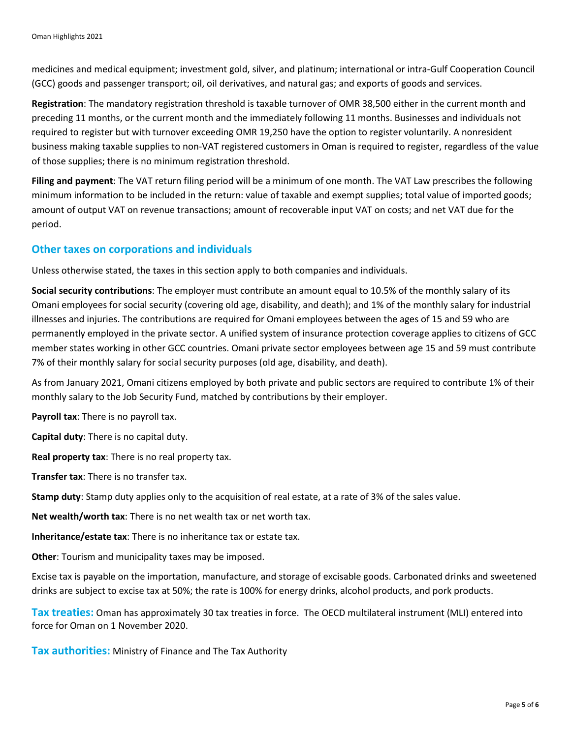medicines and medical equipment; investment gold, silver, and platinum; international or intra-Gulf Cooperation Council (GCC) goods and passenger transport; oil, oil derivatives, and natural gas; and exports of goods and services.

**Registration**: The mandatory registration threshold is taxable turnover of OMR 38,500 either in the current month and preceding 11 months, or the current month and the immediately following 11 months. Businesses and individuals not required to register but with turnover exceeding OMR 19,250 have the option to register voluntarily. A nonresident business making taxable supplies to non-VAT registered customers in Oman is required to register, regardless of the value of those supplies; there is no minimum registration threshold.

**Filing and payment**: The VAT return filing period will be a minimum of one month. The VAT Law prescribes the following minimum information to be included in the return: value of taxable and exempt supplies; total value of imported goods; amount of output VAT on revenue transactions; amount of recoverable input VAT on costs; and net VAT due for the period.

# **Other taxes on corporations and individuals**

Unless otherwise stated, the taxes in this section apply to both companies and individuals.

**Social security contributions**: The employer must contribute an amount equal to 10.5% of the monthly salary of its Omani employees for social security (covering old age, disability, and death); and 1% of the monthly salary for industrial illnesses and injuries. The contributions are required for Omani employees between the ages of 15 and 59 who are permanently employed in the private sector. A unified system of insurance protection coverage applies to citizens of GCC member states working in other GCC countries. Omani private sector employees between age 15 and 59 must contribute 7% of their monthly salary for social security purposes (old age, disability, and death).

As from January 2021, Omani citizens employed by both private and public sectors are required to contribute 1% of their monthly salary to the Job Security Fund, matched by contributions by their employer.

**Payroll tax**: There is no payroll tax.

**Capital duty**: There is no capital duty.

**Real property tax**: There is no real property tax.

**Transfer tax**: There is no transfer tax.

**Stamp duty**: Stamp duty applies only to the acquisition of real estate, at a rate of 3% of the sales value.

**Net wealth/worth tax**: There is no net wealth tax or net worth tax.

**Inheritance/estate tax**: There is no inheritance tax or estate tax.

**Other**: Tourism and municipality taxes may be imposed.

Excise tax is payable on the importation, manufacture, and storage of excisable goods. Carbonated drinks and sweetened drinks are subject to excise tax at 50%; the rate is 100% for energy drinks, alcohol products, and pork products.

**Tax treaties:** Oman has approximately 30 tax treaties in force. The OECD multilateral instrument (MLI) entered into force for Oman on 1 November 2020.

**Tax authorities:** Ministry of Finance and The Tax Authority